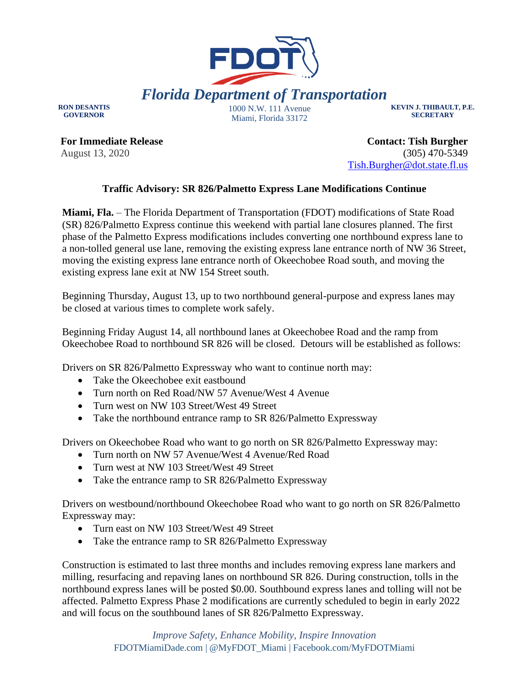

**RON DESANTIS GOVERNOR**

Miami, Florida 33172

**KEVIN J. THIBAULT, P.E. SECRETARY**

**For Immediate Release** August 13, 2020

**Contact: Tish Burgher** (305) 470-5349 [Tish.Burgher@dot.state.fl.us](mailto:Tish.Burgher@dot.state.fl.us)

## **Traffic Advisory: SR 826/Palmetto Express Lane Modifications Continue**

**Miami, Fla.** – The Florida Department of Transportation (FDOT) modifications of State Road (SR) 826/Palmetto Express continue this weekend with partial lane closures planned. The first phase of the Palmetto Express modifications includes converting one northbound express lane to a non-tolled general use lane, removing the existing express lane entrance north of NW 36 Street, moving the existing express lane entrance north of Okeechobee Road south, and moving the existing express lane exit at NW 154 Street south.

Beginning Thursday, August 13, up to two northbound general-purpose and express lanes may be closed at various times to complete work safely.

Beginning Friday August 14, all northbound lanes at Okeechobee Road and the ramp from Okeechobee Road to northbound SR 826 will be closed. Detours will be established as follows:

Drivers on SR 826/Palmetto Expressway who want to continue north may:

- Take the Okeechobee exit eastbound
- Turn north on Red Road/NW 57 Avenue/West 4 Avenue
- Turn west on NW 103 Street/West 49 Street
- Take the northbound entrance ramp to SR 826/Palmetto Expressway

Drivers on Okeechobee Road who want to go north on SR 826/Palmetto Expressway may:

- Turn north on NW 57 Avenue/West 4 Avenue/Red Road
- Turn west at NW 103 Street/West 49 Street
- Take the entrance ramp to SR 826/Palmetto Expressway

Drivers on westbound/northbound Okeechobee Road who want to go north on SR 826/Palmetto Expressway may:

- Turn east on NW 103 Street/West 49 Street
- Take the entrance ramp to SR 826/Palmetto Expressway

Construction is estimated to last three months and includes removing express lane markers and milling, resurfacing and repaving lanes on northbound SR 826. During construction, tolls in the northbound express lanes will be posted \$0.00. Southbound express lanes and tolling will not be affected. Palmetto Express Phase 2 modifications are currently scheduled to begin in early 2022 and will focus on the southbound lanes of SR 826/Palmetto Expressway.